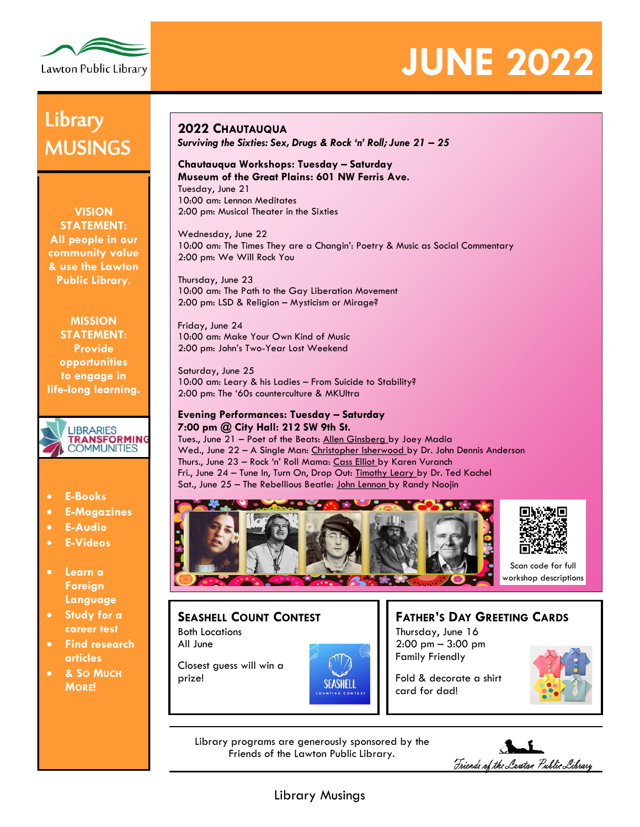

# **JUNE 2022**

## **Library** MUSINGS

**VISION STATEMENT: All people in our community value & use the Lawton Public Library.**

**MISSION STATEMENT: Provide opportunities to engage in life-long learning.**



- **E-Books**
- **E-Magazines**
- **E-Audio**
- **E-Videos**
- **Learn a Foreign Language**
- **Study for a career test**
- **Find research articles**
- **& SO MUCH MORE!**

### **2022 CHAUTAUQUA**

*Surviving the Sixties: Sex, Drugs & Rock 'n' Roll; June 21 – 25*

#### **Chautauqua Workshops: Tuesday – Saturday Museum of the Great Plains: 601 NW Ferris Ave.** Tuesday, June 21

10:00 am: Lennon Meditates 2:00 pm: Musical Theater in the Sixties

Wednesday, June 22 10:00 am: The Times They are a Changin': Poetry & Music as Social Commentary 2:00 pm: We Will Rock You

Thursday, June 23 10:00 am: The Path to the Gay Liberation Movement 2:00 pm: LSD & Religion – Mysticism or Mirage?

Friday, June 24 10:00 am: Make Your Own Kind of Music 2:00 pm: John's Two-Year Lost Weekend

Saturday, June 25 10:00 am: Leary & his Ladies – From Suicide to Stability? 2:00 pm: The '60s counterculture & MKUltra

### **Evening Performances: Tuesday – Saturday 7:00 pm @ City Hall: 212 SW 9th St.**

Tues., June 21 – Poet of the Beats: Allen Ginsberg by Joey Madia Wed., June 22 - A Single Man: Christopher Isherwood by Dr. John Dennis Anderson Thurs., June 23 - Rock 'n' Roll Mama: Cass Elliot by Karen Vuranch Fri., June 24 - Tune In, Turn On, Drop Out: Timothy Leary by Dr. Ted Kachel Sat., June 25 – The Rebellious Beatle: John Lennon by Randy Noojin





Scan code for full workshop descriptions

### **SEASHELL COUNT CONTEST** Both Locations

All June

Closest guess will win a prize!

### **FATHER'S DAY GREETING CARDS** Thursday, June 16

2:00 pm – 3:00 pm Family Friendly

card for dad!

Fold & decorate a shirt



Library programs are generously sponsored by the Friends of the Lawton Public Library.

SEASHELL

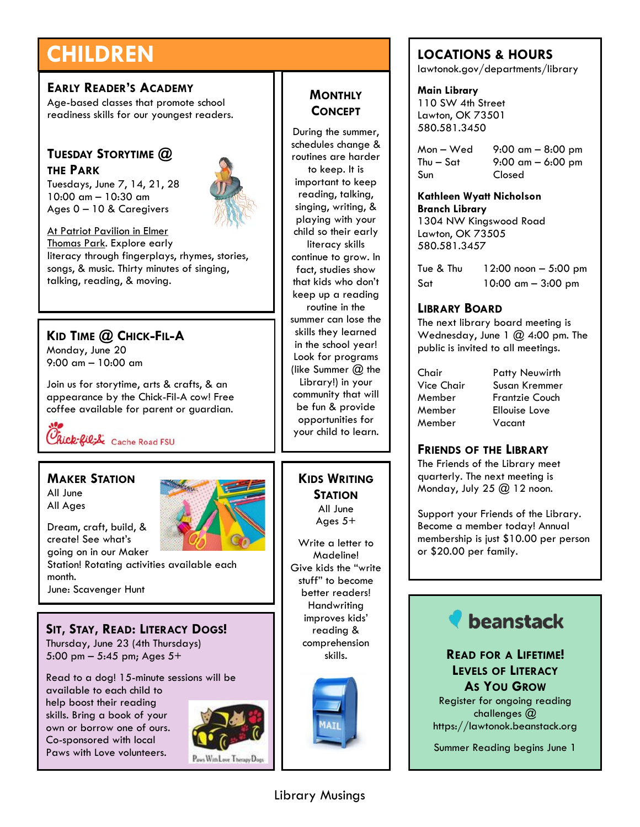## **CHILDREN**

### **EARLY READER'S ACADEMY**

Age-based classes that promote school readiness skills for our youngest readers.

### **TUESDAY STORYTIME @ THE PARK**

Tuesdays, June 7, 14, 21, 28 10:00 am – 10:30 am Ages 0 – 10 & Caregivers



At Patriot Pavilion in Elmer Thomas Park. Explore early literacy through fingerplays, rhymes, stories, songs, & music. Thirty minutes of singing, talking, reading, & moving.

### **KID TIME @ CHICK-FIL-A**

Monday, June 20 9:00 am – 10:00 am

Join us for storytime, arts & crafts, & an appearance by the Chick-Fil-A cow! Free coffee available for parent or guardian.

Chick-fil<sub>i</sub>L Cache Road FSU

### **MAKER STATION**

Dream, craft, build, & create! See what's

June: Scavenger Hunt

All June All Ages

month.



**SIT, STAY, READ: LITERACY DOGS!** Thursday, June 23 (4th Thursdays)

5:00 pm – 5:45 pm; Ages 5+

Read to a dog! 15-minute sessions will be available to each child to help boost their reading skills. Bring a book of your own or borrow one of ours. Co-sponsored with local Paws with Love volunteers.



**MONTHLY CONCEPT**

During the summer, schedules change & routines are harder to keep. It is important to keep reading, talking, singing, writing, & playing with your child so their early literacy skills continue to grow. In fact, studies show that kids who don't keep up a reading routine in the summer can lose the skills they learned in the school year! Look for programs (like Summer  $@$  the Library!) in your community that will be fun & provide opportunities for your child to learn.

**KIDS WRITING STATION** All June Ages 5+

Write a letter to Madeline! Give kids the "write stuff" to become better readers! **Handwriting** improves kids' reading & comprehension skills.



### **LOCATIONS & HOURS**

lawtonok.gov/departments/library

**Main Library** 110 SW 4th Street Lawton, OK 73501 580.581.3450

Mon – Wed 9:00 am – 8:00 pm Thu – Sat  $9:00 \text{ cm} - 6:00 \text{ pm}$ Sun Closed

**Kathleen Wyatt Nicholson Branch Library** 1304 NW Kingswood Road Lawton, OK 73505

Tue & Thu 12:00 noon – 5:00 pm Sat 10:00 am – 3:00 pm

### **LIBRARY BOARD**

580.581.3457

The next library board meeting is Wednesday, June  $1 \text{ } \textcircled{a}$  4:00 pm. The public is invited to all meetings.

Chair Patty Neuwirth Susan Kremmer Member Frantzie Couch Member Ellouise Love Member Vacant

### **FRIENDS OF THE LIBRARY**

The Friends of the Library meet quarterly. The next meeting is Monday, July 25 @ 12 noon.

Support your Friends of the Library. Become a member today! Annual membership is just \$10.00 per person or \$20.00 per family.



**READ FOR A LIFETIME! LEVELS OF LITERACY AS YOU GROW**

Register for ongoing reading challenges @ https://lawtonok.beanstack.org

Summer Reading begins June 1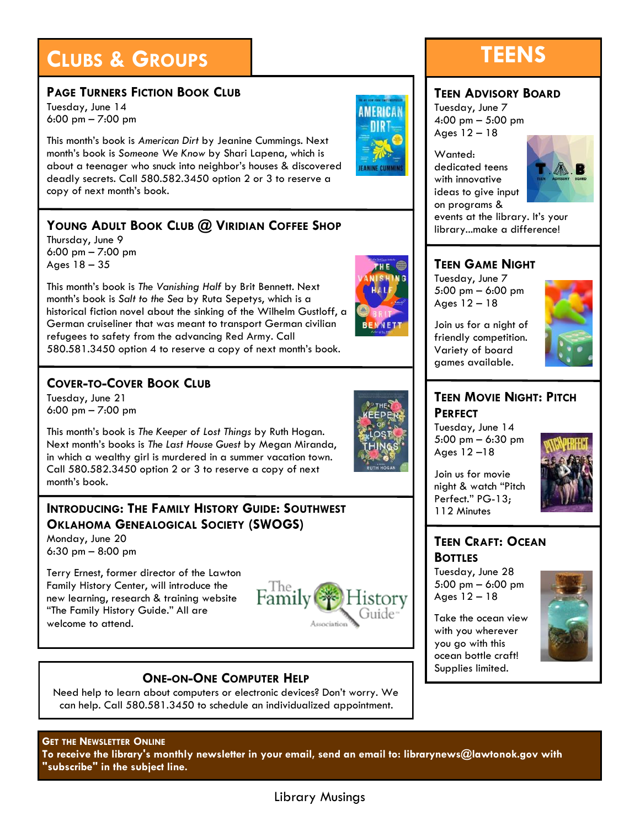## **CLUBS & GROUPS TEENS**

### **PAGE TURNERS FICTION BOOK CLUB**

Tuesday, June 14 6:00 pm – 7:00 pm

This month's book is *American Dirt* by Jeanine Cummings. Next month's book is *Someone We Know* by Shari Lapena, which is about a teenager who snuck into neighbor's houses & discovered deadly secrets. Call 580.582.3450 option 2 or 3 to reserve a copy of next month's book.

### **YOUNG ADULT BOOK CLUB @ VIRIDIAN COFFEE SHOP**

Thursday, June 9 6:00 pm – 7:00 pm Ages 18 – 35

This month's book is *The Vanishing Half* by Brit Bennett. Next month's book is *Salt to the Sea* by Ruta Sepetys, which is a historical fiction novel about the sinking of the Wilhelm Gustloff, a German cruiseliner that was meant to transport German civilian refugees to safety from the advancing Red Army. Call 580.581.3450 option 4 to reserve a copy of next month's book.

### **COVER-TO-COVER BOOK CLUB**

Tuesday, June 21 6:00 pm – 7:00 pm

This month's book is *The Keeper of Lost Things* by Ruth Hogan. Next month's books is *The Last House Guest* by Megan Miranda, in which a wealthy girl is murdered in a summer vacation town. Call 580.582.3450 option 2 or 3 to reserve a copy of next month's book.

### **INTRODUCING: THE FAMILY HISTORY GUIDE: SOUTHWEST OKLAHOMA GENEALOGICAL SOCIETY (SWOGS)**

Monday, June 20 6:30 pm – 8:00 pm

Terry Ernest, former director of the Lawton Family History Center, will introduce the new learning, research & training website "The Family History Guide." All are welcome to attend.



### **ONE-ON-ONE COMPUTER HELP**

Need help to learn about computers or electronic devices? Don't worry. We can help. Call 580.581.3450 to schedule an individualized appointment.

### **GET THE NEWSLETTER ONLINE**

**To receive the library's monthly newsletter in your email, send an email to: librarynews@lawtonok.gov with "subscribe" in the subject line.**

## **MERICA** nid



### **TEEN ADVISORY BOARD**

Tuesday, June 7 4:00 pm – 5:00 pm

Wanted: dedicated teens with innovative ideas to give input on programs &



events at the library. It's your library...make a difference!

### **TEEN GAME NIGHT**

Tuesday, June 7 5:00 pm – 6:00 pm Ages 12 – 18

Join us for a night of friendly competition. Variety of board games available.



### **TEEN MOVIE NIGHT: PITCH PERFECT**

Tuesday, June 14 5:00 pm – 6:30 pm Ages 12 –18



Join us for movie night & watch "Pitch Perfect." PG-13; 112 Minutes

### **TEEN CRAFT: OCEAN BOTTLES**

Tuesday, June 28 5:00 pm – 6:00 pm Ages 12 – 18

Take the ocean view with you wherever you go with this ocean bottle craft! Supplies limited.



Library Musings

Ages 12 – 18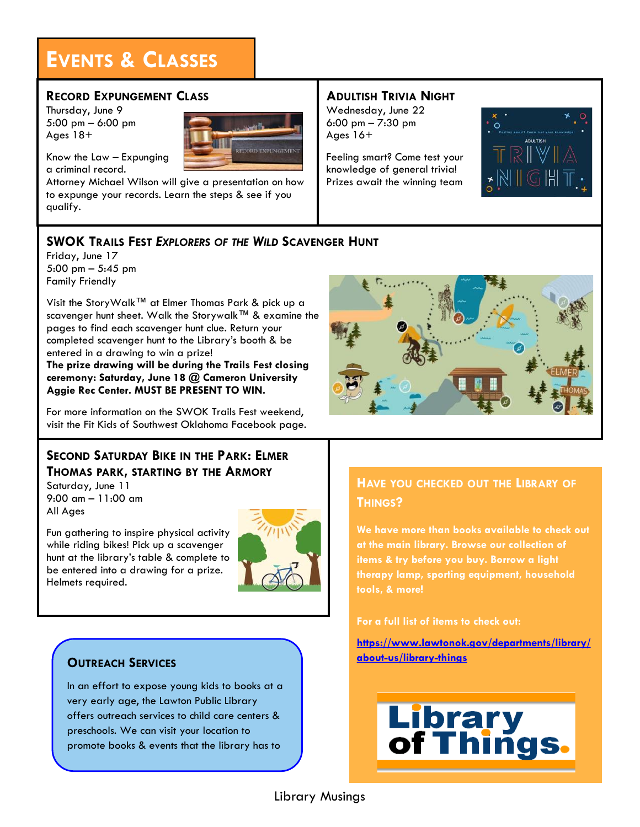## **EVENTS & CLASSES**

### **RECORD EXPUNGEMENT CLASS**

Thursday, June 9 5:00 pm – 6:00 pm Ages 18+



Know the Law – Expunging a criminal record.

Attorney Michael Wilson will give a presentation on how to expunge your records. Learn the steps & see if you qualify.

### **ADULTISH TRIVIA NIGHT**

Wednesday, June 22 6:00 pm – 7:30 pm Ages 16+

Feeling smart? Come test your knowledge of general trivia! Prizes await the winning team



### **SWOK TRAILS FEST** *EXPLORERS OF THE WILD* **SCAVENGER HUNT**

Friday, June 17 5:00 pm – 5:45 pm Family Friendly

Visit the StoryWalk™ at Elmer Thomas Park & pick up a scavenger hunt sheet. Walk the Storywalk™ & examine the pages to find each scavenger hunt clue. Return your completed scavenger hunt to the Library's booth & be entered in a drawing to win a prize!

**The prize drawing will be during the Trails Fest closing ceremony: Saturday, June 18 @ Cameron University Aggie Rec Center. MUST BE PRESENT TO WIN.** 

For more information on the SWOK Trails Fest weekend, visit the Fit Kids of Southwest Oklahoma Facebook page.

### **SECOND SATURDAY BIKE IN THE PARK: ELMER THOMAS PARK, STARTING BY THE ARMORY**

Saturday, June 11 9:00 am – 11:00 am All Ages

Fun gathering to inspire physical activity while riding bikes! Pick up a scavenger hunt at the library's table & complete to be entered into a drawing for a prize. Helmets required.



### **OUTREACH SERVICES**

In an effort to expose young kids to books at a very early age, the Lawton Public Library offers outreach services to child care centers & preschools. We can visit your location to promote books & events that the library has to



### **HAVE YOU CHECKED OUT THE LIBRARY OF THINGS?**

**We have more than books available to check out at the main library. Browse our collection of items & try before you buy. Borrow a light therapy lamp, sporting equipment, household tools, & more!**

### **For a full list of items to check out:**

**[https://www.lawtonok.gov/departments/library/](https://www.lawtonok.gov/departments/library/about-us/library-things) [about-us/library-things](https://www.lawtonok.gov/departments/library/about-us/library-things)**

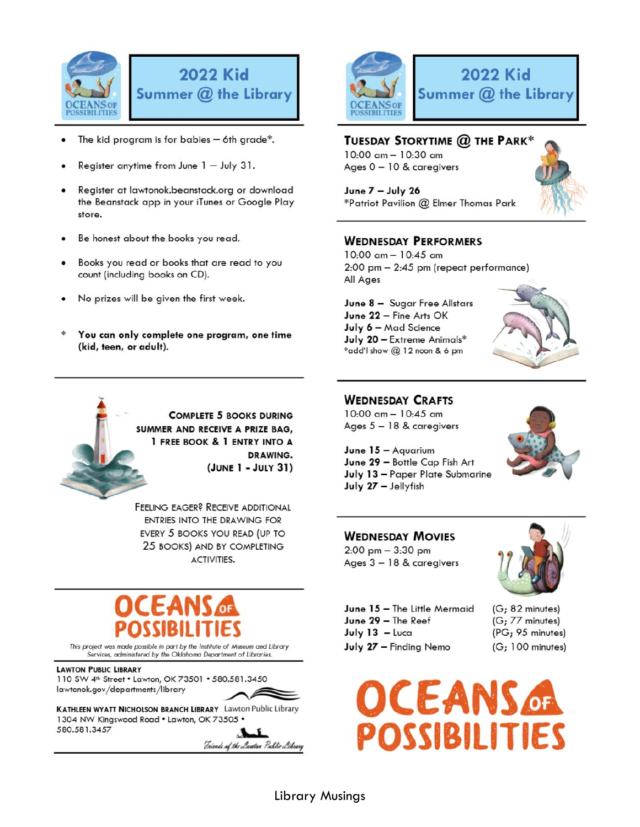

## **2022 Kid** Summer @ the Library

- The kid program is for babies  $-$  6th grade\*.
- Register anytime from June  $1 -$  July 31.
- Register at lawtonok.beanstack.org or download the Beanstack app in your iTunes or Google Play store.
- Be honest about the books you read.
- Books you read or books that are read to you count (including books on CD).
- No prizes will be given the first week.
- You can only complete one program, one time (kid, teen, or adult).

**COMPLETE 5 BOOKS DURING** SUMMER AND RECEIVE A PRIZE BAG, 1 FREE BOOK & 1 ENTRY INTO A DRAWING. (JUNE 1 - JULY 31)

FEELING EAGER? RECEIVE ADDITIONAL ENTRIES INTO THE DRAWING FOR EVERY 5 BOOKS YOU READ (UP TO 25 BOOKS) AND BY COMPLETING ACTIVITIES.

This project was made possible in part by the Institute of Museum and Library<br>Services, administered by the Oklahoma Department of Libraries.

**LAWTON PUBLIC LIBRARY** 110 SW 4th Street . Lawton, OK 73501 . 580.581.3450 lawtonok.gov/departments/library

KATHLEEN WYATT NICHOLSON BRANCH LIBRARY Lawton Public Library 1304 NW Kingswood Road . Lawton, OK 73505 . 580.581.3457

Friends of the Lawton Public Library



### TUESDAY STORYTIME @ THE PARK\*

10:00 am - 10:30 am Ages 0 - 10 & caregivers

June 7 - July 26 \*Patriot Pavilion @ Elmer Thomas Park



### **WEDNESDAY PERFORMERS**

10:00 am - 10:45 am 2:00 pm - 2:45 pm (repeat performance) All Ages

June 8 - Sugar Free Allstars June 22 - Fine Arts OK July 6 - Mad Science July 20 - Extreme Animals\* \*add'l show @ 12 noon & 6 pm



### **WEDNESDAY CRAFTS**

10:00 am - 10:45 am Ages 5 - 18 & caregivers



June  $15 -$  Aquarium June 29 - Bottle Cap Fish Art July 13 - Paper Plate Submarine July 27 - Jellyfish

### **WEDNESDAY MOVIES**

 $2:00$  pm  $-3:30$  pm Ages 3 - 18 & caregivers



June 15 - The Little Mermaid June 29 - The Reef July  $13 -$ Luca July 27 - Finding Nemo

(G; 82 minutes) (G; 77 minutes) (PG; 95 minutes)  $(G; 100$  minutes)